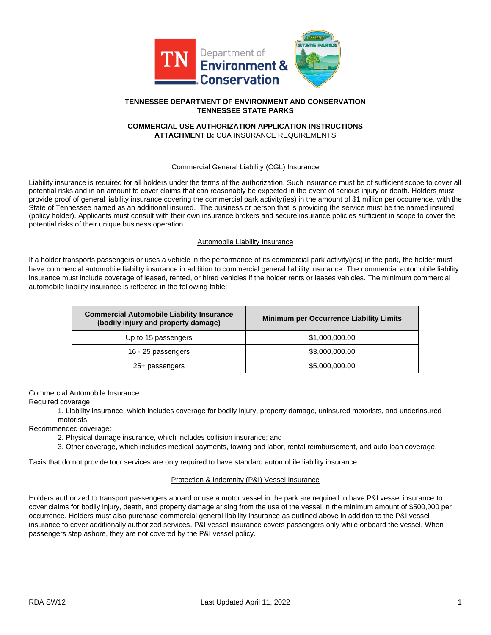

# **TENNESSEE DEPARTMENT OF ENVIRONMENT AND CONSERVATION TENNESSEE STATE PARKS**

## **COMMERCIAL USE AUTHORIZATION APPLICATION INSTRUCTIONS ATTACHMENT B:** CUA INSURANCE REQUIREMENTS

## Commercial General Liability (CGL) Insurance

Liability insurance is required for all holders under the terms of the authorization. Such insurance must be of sufficient scope to cover all potential risks and in an amount to cover claims that can reasonably be expected in the event of serious injury or death. Holders must provide proof of general liability insurance covering the commercial park activity(ies) in the amount of \$1 million per occurrence, with the State of Tennessee named as an additional insured. The business or person that is providing the service must be the named insured (policy holder). Applicants must consult with their own insurance brokers and secure insurance policies sufficient in scope to cover the potential risks of their unique business operation.

### Automobile Liability Insurance

If a holder transports passengers or uses a vehicle in the performance of its commercial park activity(ies) in the park, the holder must have commercial automobile liability insurance in addition to commercial general liability insurance. The commercial automobile liability insurance must include coverage of leased, rented, or hired vehicles if the holder rents or leases vehicles. The minimum commercial automobile liability insurance is reflected in the following table:

| <b>Commercial Automobile Liability Insurance</b><br>(bodily injury and property damage) | <b>Minimum per Occurrence Liability Limits</b> |  |  |  |  |
|-----------------------------------------------------------------------------------------|------------------------------------------------|--|--|--|--|
| Up to 15 passengers                                                                     | \$1,000,000.00                                 |  |  |  |  |
| 16 - 25 passengers                                                                      | \$3,000,000.00                                 |  |  |  |  |
| 25+ passengers                                                                          | \$5,000,000.00                                 |  |  |  |  |

### Commercial Automobile Insurance

Required coverage:

1. Liability insurance, which includes coverage for bodily injury, property damage, uninsured motorists, and underinsured motorists

Recommended coverage:

- 2. Physical damage insurance, which includes collision insurance; and
- 3. Other coverage, which includes medical payments, towing and labor, rental reimbursement, and auto loan coverage.

Taxis that do not provide tour services are only required to have standard automobile liability insurance.

### Protection & Indemnity (P&I) Vessel Insurance

Holders authorized to transport passengers aboard or use a motor vessel in the park are required to have P&I vessel insurance to cover claims for bodily injury, death, and property damage arising from the use of the vessel in the minimum amount of \$500,000 per occurrence. Holders must also purchase commercial general liability insurance as outlined above in addition to the P&I vessel insurance to cover additionally authorized services. P&I vessel insurance covers passengers only while onboard the vessel. When passengers step ashore, they are not covered by the P&I vessel policy.